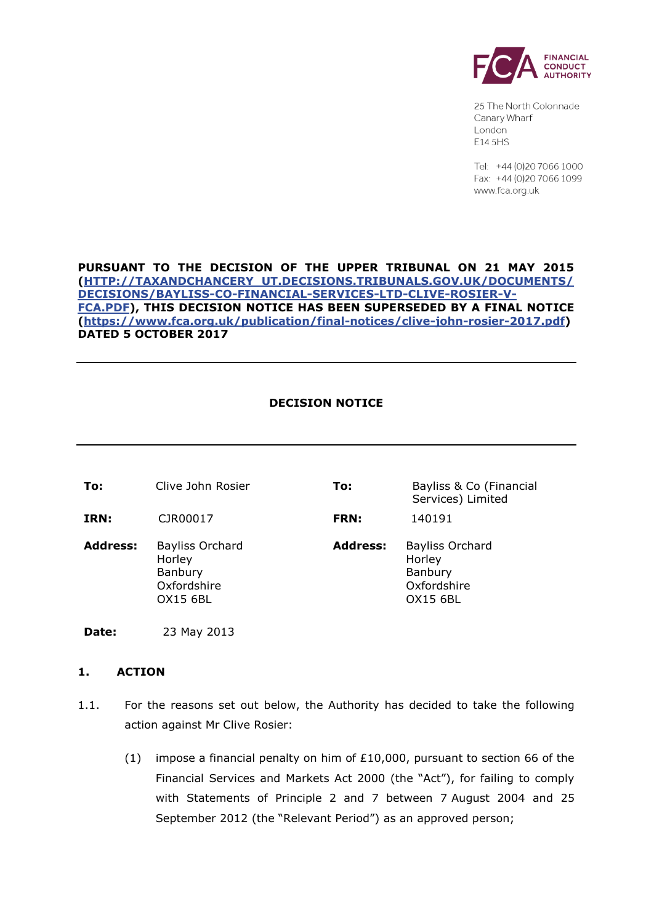

25 The North Colonnade Canary Wharf London E14 5HS

Tel: +44 (0) 20 7066 1000 Fax: +44 (0)20 7066 1099 www.fca.org.uk

# **PURSUANT TO THE DECISION OF THE UPPER TRIBUNAL ON 21 MAY 2015 [\(HTTP://TAXANDCHANCERY\\_UT.DECISIONS.TRIBUNALS.GOV.UK/DOCUMENTS/](http://taxandchancery_ut.decisions.tribunals.gov.uk/DOCUMENTS/DECISIONS/BAYLISS-CO-FINANCIAL-SERVICES-LTD-CLIVE-ROSIER-V-FCA.PDF) [DECISIONS/BAYLISS-CO-FINANCIAL-SERVICES-LTD-CLIVE-ROSIER-V-](http://taxandchancery_ut.decisions.tribunals.gov.uk/DOCUMENTS/DECISIONS/BAYLISS-CO-FINANCIAL-SERVICES-LTD-CLIVE-ROSIER-V-FCA.PDF)[FCA.PDF\)](http://taxandchancery_ut.decisions.tribunals.gov.uk/DOCUMENTS/DECISIONS/BAYLISS-CO-FINANCIAL-SERVICES-LTD-CLIVE-ROSIER-V-FCA.PDF), THIS DECISION NOTICE HAS BEEN SUPERSEDED BY A FINAL NOTICE [\(https://www.fca.org.uk/publication/final-notices/clive-john-rosier-2017.pdf\)](https://www.fca.org.uk/publication/final-notices/clive-john-rosier-2017.pdf) DATED 5 OCTOBER 2017**

# **DECISION NOTICE**

| To:             | Clive John Rosier                                                      | To:             | Bayliss & Co (Financial<br>Services) Limited                                  |
|-----------------|------------------------------------------------------------------------|-----------------|-------------------------------------------------------------------------------|
| <b>IRN:</b>     | CJR00017                                                               | <b>FRN:</b>     | 140191                                                                        |
| <b>Address:</b> | <b>Bayliss Orchard</b><br>Horley<br>Banbury<br>Oxfordshire<br>OX15 6BL | <b>Address:</b> | <b>Bayliss Orchard</b><br>Horley<br>Banbury<br>Oxfordshire<br><b>OX15 6BL</b> |

**Date:** 23 May 2013

#### **1. ACTION**

- 1.1. For the reasons set out below, the Authority has decided to take the following action against Mr Clive Rosier:
	- (1) impose a financial penalty on him of £10,000, pursuant to section 66 of the Financial Services and Markets Act 2000 (the "Act"), for failing to comply with Statements of Principle 2 and 7 between 7 August 2004 and 25 September 2012 (the "Relevant Period") as an approved person;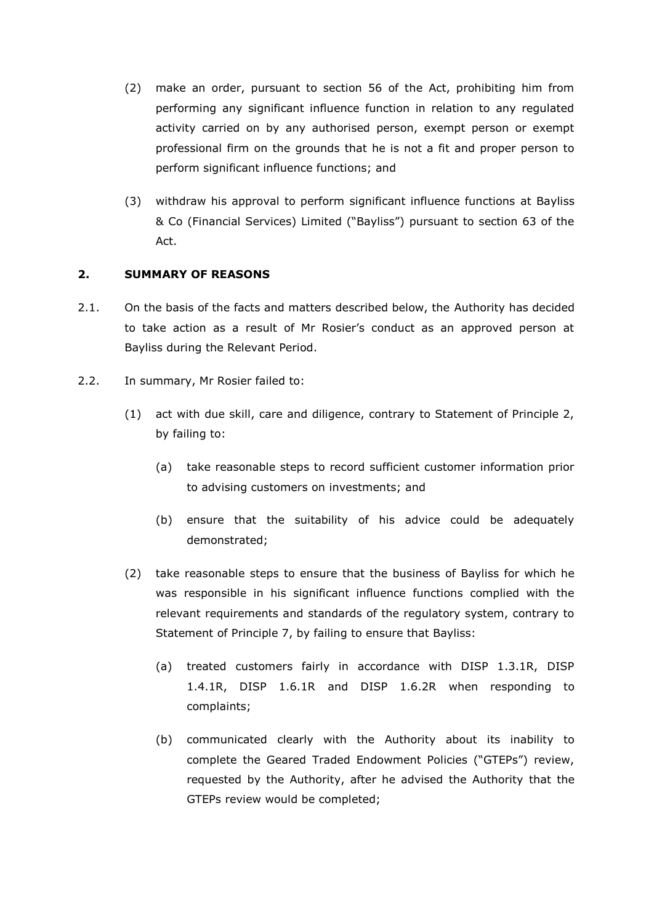- (2) make an order, pursuant to section 56 of the Act, prohibiting him from performing any significant influence function in relation to any regulated activity carried on by any authorised person, exempt person or exempt professional firm on the grounds that he is not a fit and proper person to perform significant influence functions; and
- (3) withdraw his approval to perform significant influence functions at Bayliss & Co (Financial Services) Limited ("Bayliss") pursuant to section 63 of the Act.

# **2. SUMMARY OF REASONS**

- 2.1. On the basis of the facts and matters described below, the Authority has decided to take action as a result of Mr Rosier's conduct as an approved person at Bayliss during the Relevant Period.
- 2.2. In summary, Mr Rosier failed to:
	- (1) act with due skill, care and diligence, contrary to Statement of Principle 2, by failing to:
		- (a) take reasonable steps to record sufficient customer information prior to advising customers on investments; and
		- (b) ensure that the suitability of his advice could be adequately demonstrated;
	- (2) take reasonable steps to ensure that the business of Bayliss for which he was responsible in his significant influence functions complied with the relevant requirements and standards of the regulatory system, contrary to Statement of Principle 7, by failing to ensure that Bayliss:
		- (a) treated customers fairly in accordance with DISP 1.3.1R, DISP 1.4.1R, DISP 1.6.1R and DISP 1.6.2R when responding to complaints;
		- (b) communicated clearly with the Authority about its inability to complete the Geared Traded Endowment Policies ("GTEPs") review, requested by the Authority, after he advised the Authority that the GTEPs review would be completed;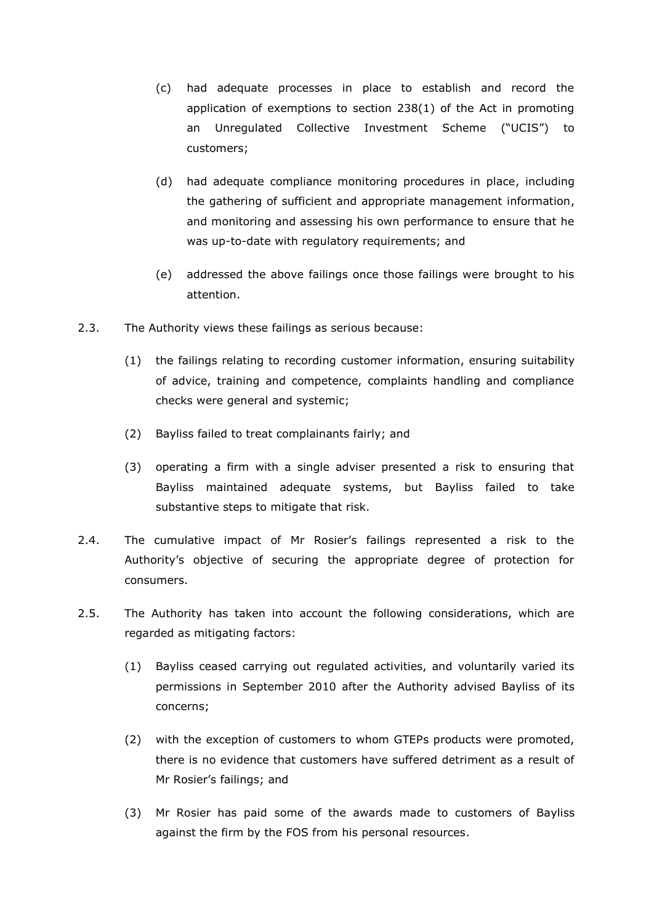- (c) had adequate processes in place to establish and record the application of exemptions to section 238(1) of the Act in promoting an Unregulated Collective Investment Scheme ("UCIS") to customers;
- (d) had adequate compliance monitoring procedures in place, including the gathering of sufficient and appropriate management information, and monitoring and assessing his own performance to ensure that he was up-to-date with regulatory requirements; and
- (e) addressed the above failings once those failings were brought to his attention.
- 2.3. The Authority views these failings as serious because:
	- (1) the failings relating to recording customer information, ensuring suitability of advice, training and competence, complaints handling and compliance checks were general and systemic;
	- (2) Bayliss failed to treat complainants fairly; and
	- (3) operating a firm with a single adviser presented a risk to ensuring that Bayliss maintained adequate systems, but Bayliss failed to take substantive steps to mitigate that risk.
- 2.4. The cumulative impact of Mr Rosier's failings represented a risk to the Authority's objective of securing the appropriate degree of protection for consumers.
- 2.5. The Authority has taken into account the following considerations, which are regarded as mitigating factors:
	- (1) Bayliss ceased carrying out regulated activities, and voluntarily varied its permissions in September 2010 after the Authority advised Bayliss of its concerns;
	- (2) with the exception of customers to whom GTEPs products were promoted, there is no evidence that customers have suffered detriment as a result of Mr Rosier's failings; and
	- (3) Mr Rosier has paid some of the awards made to customers of Bayliss against the firm by the FOS from his personal resources.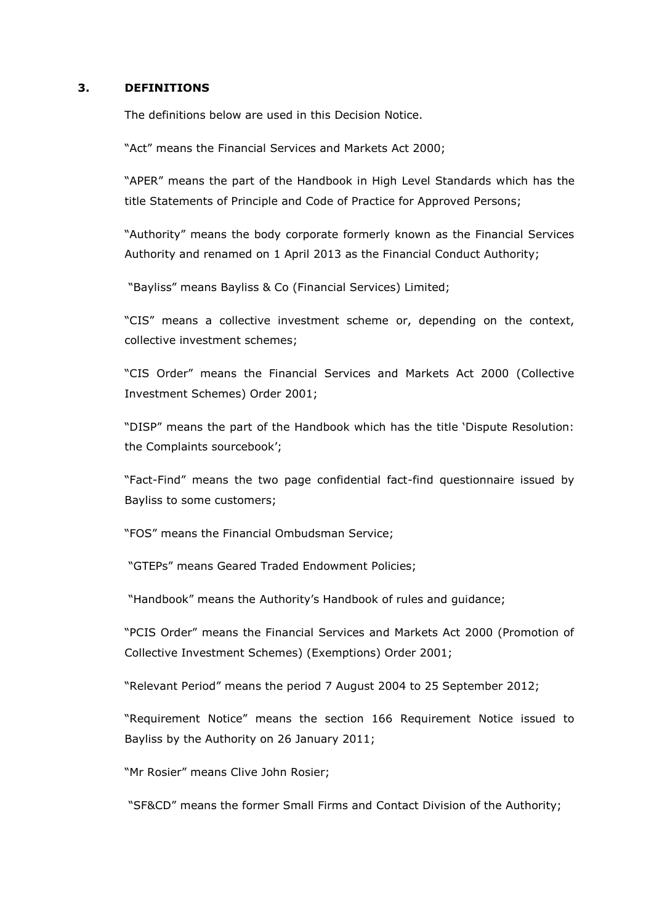#### **3. DEFINITIONS**

The definitions below are used in this Decision Notice.

"Act" means the Financial Services and Markets Act 2000;

"APER" means the part of the Handbook in High Level Standards which has the title Statements of Principle and Code of Practice for Approved Persons;

"Authority" means the body corporate formerly known as the Financial Services Authority and renamed on 1 April 2013 as the Financial Conduct Authority;

"Bayliss" means Bayliss & Co (Financial Services) Limited;

"CIS" means a collective investment scheme or, depending on the context, collective investment schemes;

"CIS Order" means the Financial Services and Markets Act 2000 (Collective Investment Schemes) Order 2001;

"DISP" means the part of the Handbook which has the title 'Dispute Resolution: the Complaints sourcebook';

"Fact-Find" means the two page confidential fact-find questionnaire issued by Bayliss to some customers;

"FOS" means the Financial Ombudsman Service;

"GTEPs" means Geared Traded Endowment Policies;

"Handbook" means the Authority's Handbook of rules and guidance;

"PCIS Order" means the Financial Services and Markets Act 2000 (Promotion of Collective Investment Schemes) (Exemptions) Order 2001;

"Relevant Period" means the period 7 August 2004 to 25 September 2012;

"Requirement Notice" means the section 166 Requirement Notice issued to Bayliss by the Authority on 26 January 2011;

"Mr Rosier" means Clive John Rosier;

"SF&CD" means the former Small Firms and Contact Division of the Authority;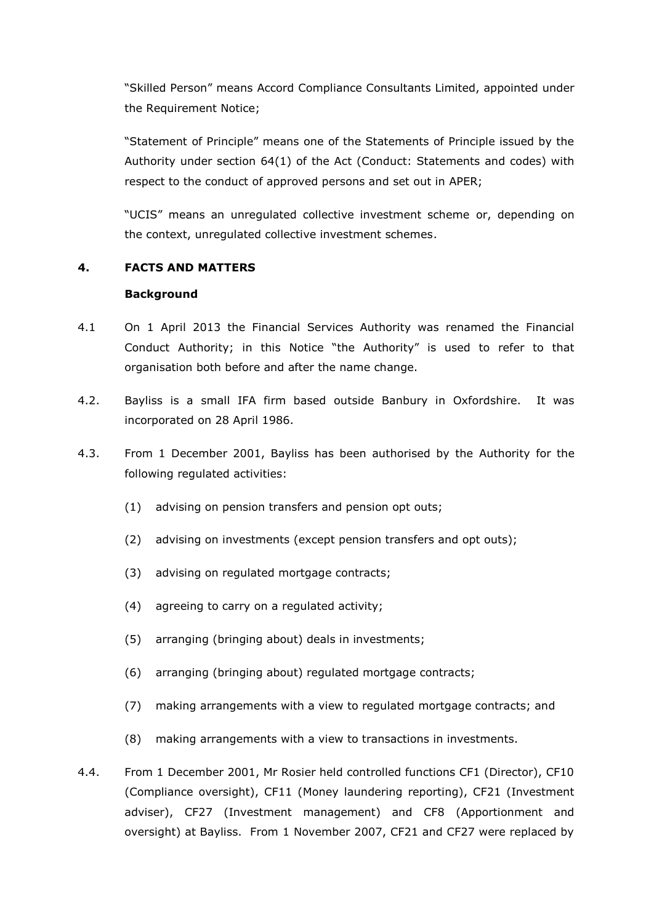"Skilled Person" means Accord Compliance Consultants Limited, appointed under the Requirement Notice;

"Statement of Principle" means one of the Statements of Principle issued by the Authority under section 64(1) of the Act (Conduct: Statements and codes) with respect to the conduct of approved persons and set out in APER;

"UCIS" means an unregulated collective investment scheme or, depending on the context, unregulated collective investment schemes.

# **4. FACTS AND MATTERS**

#### **Background**

- 4.1 On 1 April 2013 the Financial Services Authority was renamed the Financial Conduct Authority; in this Notice "the Authority" is used to refer to that organisation both before and after the name change.
- 4.2. Bayliss is a small IFA firm based outside Banbury in Oxfordshire. It was incorporated on 28 April 1986.
- 4.3. From 1 December 2001, Bayliss has been authorised by the Authority for the following regulated activities:
	- (1) advising on pension transfers and pension opt outs;
	- (2) advising on investments (except pension transfers and opt outs);
	- (3) advising on regulated mortgage contracts;
	- (4) agreeing to carry on a regulated activity;
	- (5) arranging (bringing about) deals in investments;
	- (6) arranging (bringing about) regulated mortgage contracts;
	- (7) making arrangements with a view to regulated mortgage contracts; and
	- (8) making arrangements with a view to transactions in investments.
- 4.4. From 1 December 2001, Mr Rosier held controlled functions CF1 (Director), CF10 (Compliance oversight), CF11 (Money laundering reporting), CF21 (Investment adviser), CF27 (Investment management) and CF8 (Apportionment and oversight) at Bayliss. From 1 November 2007, CF21 and CF27 were replaced by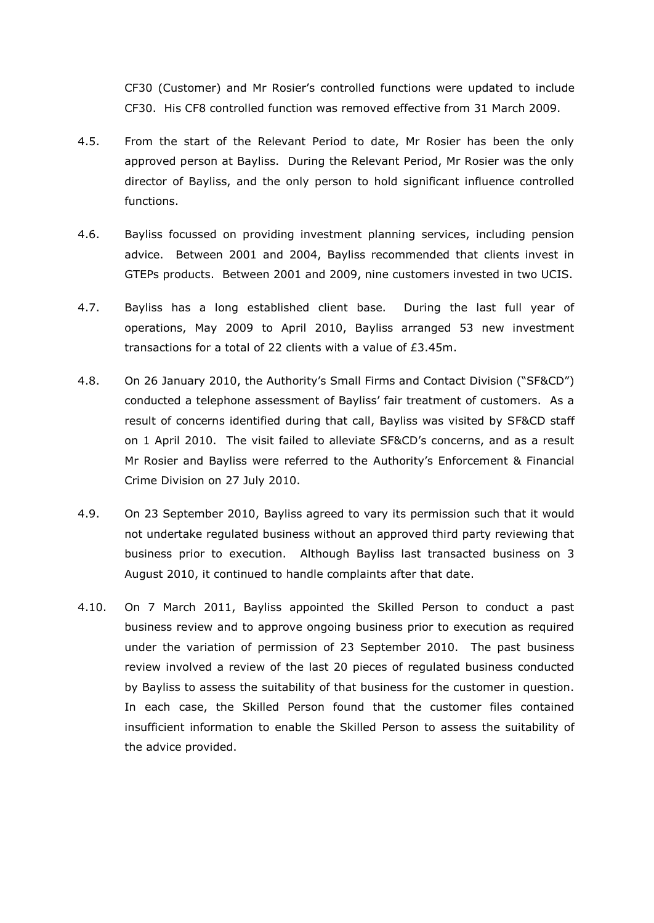CF30 (Customer) and Mr Rosier's controlled functions were updated to include CF30. His CF8 controlled function was removed effective from 31 March 2009.

- 4.5. From the start of the Relevant Period to date, Mr Rosier has been the only approved person at Bayliss. During the Relevant Period, Mr Rosier was the only director of Bayliss, and the only person to hold significant influence controlled functions.
- 4.6. Bayliss focussed on providing investment planning services, including pension advice. Between 2001 and 2004, Bayliss recommended that clients invest in GTEPs products. Between 2001 and 2009, nine customers invested in two UCIS.
- 4.7. Bayliss has a long established client base. During the last full year of operations, May 2009 to April 2010, Bayliss arranged 53 new investment transactions for a total of 22 clients with a value of £3.45m.
- 4.8. On 26 January 2010, the Authority's Small Firms and Contact Division ("SF&CD") conducted a telephone assessment of Bayliss' fair treatment of customers. As a result of concerns identified during that call, Bayliss was visited by SF&CD staff on 1 April 2010. The visit failed to alleviate SF&CD's concerns, and as a result Mr Rosier and Bayliss were referred to the Authority's Enforcement & Financial Crime Division on 27 July 2010.
- 4.9. On 23 September 2010, Bayliss agreed to vary its permission such that it would not undertake regulated business without an approved third party reviewing that business prior to execution. Although Bayliss last transacted business on 3 August 2010, it continued to handle complaints after that date.
- 4.10. On 7 March 2011, Bayliss appointed the Skilled Person to conduct a past business review and to approve ongoing business prior to execution as required under the variation of permission of 23 September 2010. The past business review involved a review of the last 20 pieces of regulated business conducted by Bayliss to assess the suitability of that business for the customer in question. In each case, the Skilled Person found that the customer files contained insufficient information to enable the Skilled Person to assess the suitability of the advice provided.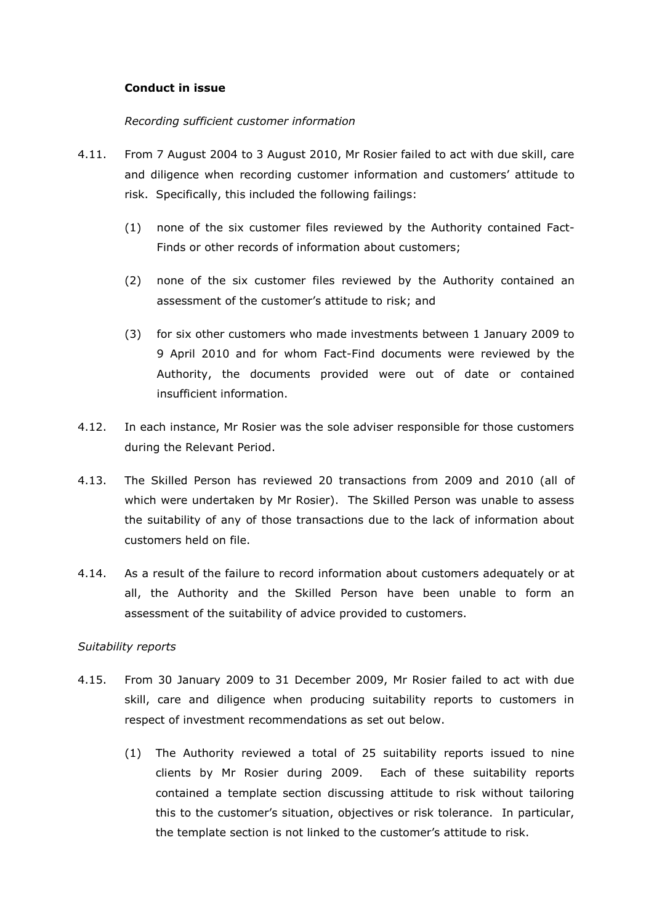# **Conduct in issue**

#### *Recording sufficient customer information*

- 4.11. From 7 August 2004 to 3 August 2010, Mr Rosier failed to act with due skill, care and diligence when recording customer information and customers' attitude to risk. Specifically, this included the following failings:
	- (1) none of the six customer files reviewed by the Authority contained Fact-Finds or other records of information about customers;
	- (2) none of the six customer files reviewed by the Authority contained an assessment of the customer's attitude to risk; and
	- (3) for six other customers who made investments between 1 January 2009 to 9 April 2010 and for whom Fact-Find documents were reviewed by the Authority, the documents provided were out of date or contained insufficient information.
- 4.12. In each instance, Mr Rosier was the sole adviser responsible for those customers during the Relevant Period.
- 4.13. The Skilled Person has reviewed 20 transactions from 2009 and 2010 (all of which were undertaken by Mr Rosier). The Skilled Person was unable to assess the suitability of any of those transactions due to the lack of information about customers held on file.
- 4.14. As a result of the failure to record information about customers adequately or at all, the Authority and the Skilled Person have been unable to form an assessment of the suitability of advice provided to customers.

#### *Suitability reports*

- 4.15. From 30 January 2009 to 31 December 2009, Mr Rosier failed to act with due skill, care and diligence when producing suitability reports to customers in respect of investment recommendations as set out below.
	- (1) The Authority reviewed a total of 25 suitability reports issued to nine clients by Mr Rosier during 2009. Each of these suitability reports contained a template section discussing attitude to risk without tailoring this to the customer's situation, objectives or risk tolerance. In particular, the template section is not linked to the customer's attitude to risk.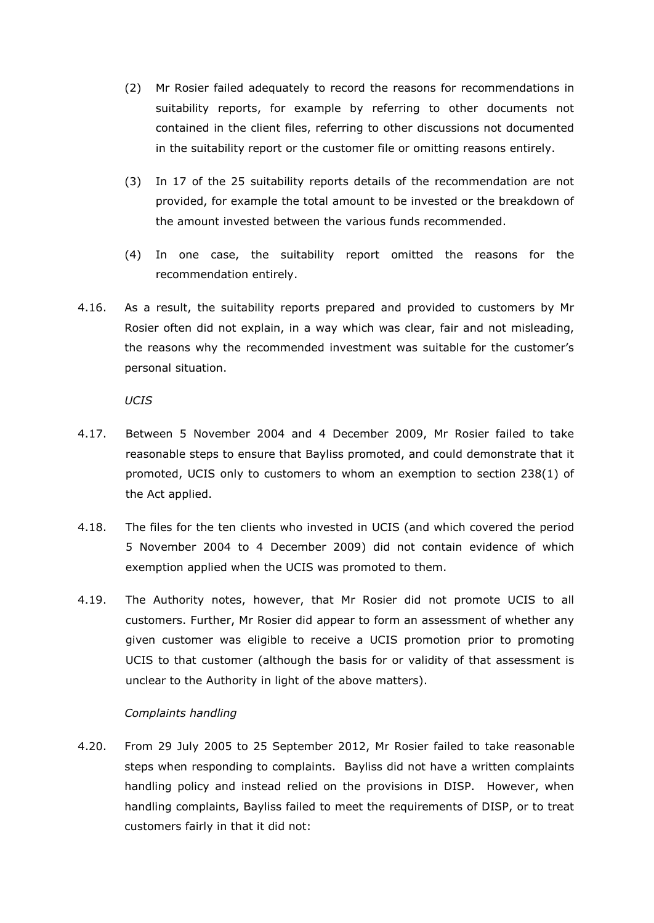- (2) Mr Rosier failed adequately to record the reasons for recommendations in suitability reports, for example by referring to other documents not contained in the client files, referring to other discussions not documented in the suitability report or the customer file or omitting reasons entirely.
- (3) In 17 of the 25 suitability reports details of the recommendation are not provided, for example the total amount to be invested or the breakdown of the amount invested between the various funds recommended.
- (4) In one case, the suitability report omitted the reasons for the recommendation entirely.
- 4.16. As a result, the suitability reports prepared and provided to customers by Mr Rosier often did not explain, in a way which was clear, fair and not misleading, the reasons why the recommended investment was suitable for the customer's personal situation.

*UCIS*

- 4.17. Between 5 November 2004 and 4 December 2009, Mr Rosier failed to take reasonable steps to ensure that Bayliss promoted, and could demonstrate that it promoted, UCIS only to customers to whom an exemption to section 238(1) of the Act applied.
- 4.18. The files for the ten clients who invested in UCIS (and which covered the period 5 November 2004 to 4 December 2009) did not contain evidence of which exemption applied when the UCIS was promoted to them.
- 4.19. The Authority notes, however, that Mr Rosier did not promote UCIS to all customers. Further, Mr Rosier did appear to form an assessment of whether any given customer was eligible to receive a UCIS promotion prior to promoting UCIS to that customer (although the basis for or validity of that assessment is unclear to the Authority in light of the above matters).

#### *Complaints handling*

4.20. From 29 July 2005 to 25 September 2012, Mr Rosier failed to take reasonable steps when responding to complaints. Bayliss did not have a written complaints handling policy and instead relied on the provisions in DISP. However, when handling complaints, Bayliss failed to meet the requirements of DISP, or to treat customers fairly in that it did not: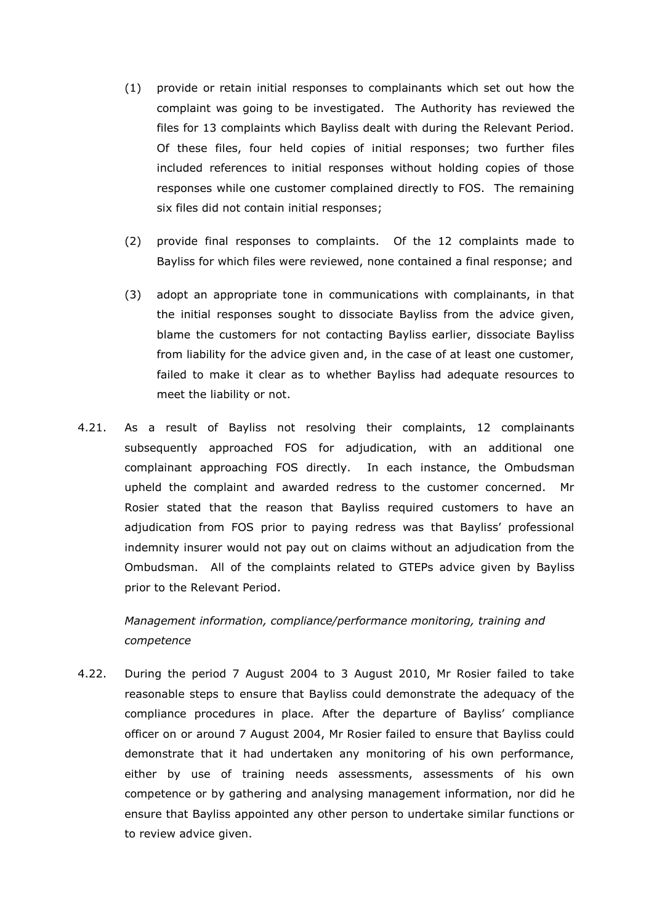- (1) provide or retain initial responses to complainants which set out how the complaint was going to be investigated. The Authority has reviewed the files for 13 complaints which Bayliss dealt with during the Relevant Period. Of these files, four held copies of initial responses; two further files included references to initial responses without holding copies of those responses while one customer complained directly to FOS. The remaining six files did not contain initial responses;
- (2) provide final responses to complaints. Of the 12 complaints made to Bayliss for which files were reviewed, none contained a final response; and
- (3) adopt an appropriate tone in communications with complainants, in that the initial responses sought to dissociate Bayliss from the advice given, blame the customers for not contacting Bayliss earlier, dissociate Bayliss from liability for the advice given and, in the case of at least one customer, failed to make it clear as to whether Bayliss had adequate resources to meet the liability or not.
- 4.21. As a result of Bayliss not resolving their complaints, 12 complainants subsequently approached FOS for adjudication, with an additional one complainant approaching FOS directly. In each instance, the Ombudsman upheld the complaint and awarded redress to the customer concerned. Mr Rosier stated that the reason that Bayliss required customers to have an adjudication from FOS prior to paying redress was that Bayliss' professional indemnity insurer would not pay out on claims without an adjudication from the Ombudsman. All of the complaints related to GTEPs advice given by Bayliss prior to the Relevant Period.

*Management information, compliance/performance monitoring, training and competence*

4.22. During the period 7 August 2004 to 3 August 2010, Mr Rosier failed to take reasonable steps to ensure that Bayliss could demonstrate the adequacy of the compliance procedures in place. After the departure of Bayliss' compliance officer on or around 7 August 2004, Mr Rosier failed to ensure that Bayliss could demonstrate that it had undertaken any monitoring of his own performance, either by use of training needs assessments, assessments of his own competence or by gathering and analysing management information, nor did he ensure that Bayliss appointed any other person to undertake similar functions or to review advice given.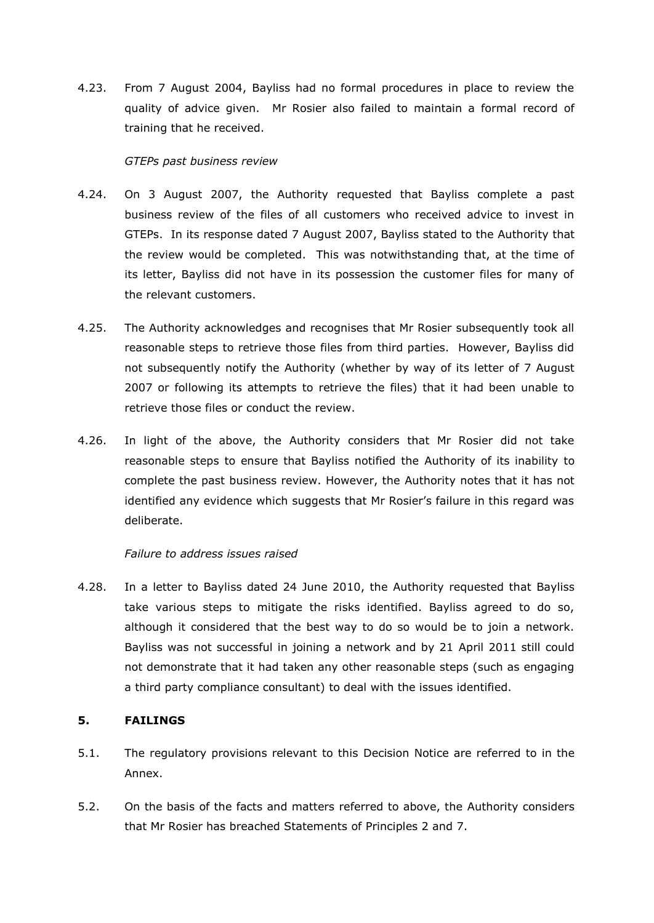4.23. From 7 August 2004, Bayliss had no formal procedures in place to review the quality of advice given. Mr Rosier also failed to maintain a formal record of training that he received.

# *GTEPs past business review*

- 4.24. On 3 August 2007, the Authority requested that Bayliss complete a past business review of the files of all customers who received advice to invest in GTEPs. In its response dated 7 August 2007, Bayliss stated to the Authority that the review would be completed. This was notwithstanding that, at the time of its letter, Bayliss did not have in its possession the customer files for many of the relevant customers.
- 4.25. The Authority acknowledges and recognises that Mr Rosier subsequently took all reasonable steps to retrieve those files from third parties. However, Bayliss did not subsequently notify the Authority (whether by way of its letter of 7 August 2007 or following its attempts to retrieve the files) that it had been unable to retrieve those files or conduct the review.
- 4.26. In light of the above, the Authority considers that Mr Rosier did not take reasonable steps to ensure that Bayliss notified the Authority of its inability to complete the past business review. However, the Authority notes that it has not identified any evidence which suggests that Mr Rosier's failure in this regard was deliberate.

# *Failure to address issues raised*

4.28. In a letter to Bayliss dated 24 June 2010, the Authority requested that Bayliss take various steps to mitigate the risks identified. Bayliss agreed to do so, although it considered that the best way to do so would be to join a network. Bayliss was not successful in joining a network and by 21 April 2011 still could not demonstrate that it had taken any other reasonable steps (such as engaging a third party compliance consultant) to deal with the issues identified.

# **5. FAILINGS**

- 5.1. The regulatory provisions relevant to this Decision Notice are referred to in the Annex.
- 5.2. On the basis of the facts and matters referred to above, the Authority considers that Mr Rosier has breached Statements of Principles 2 and 7.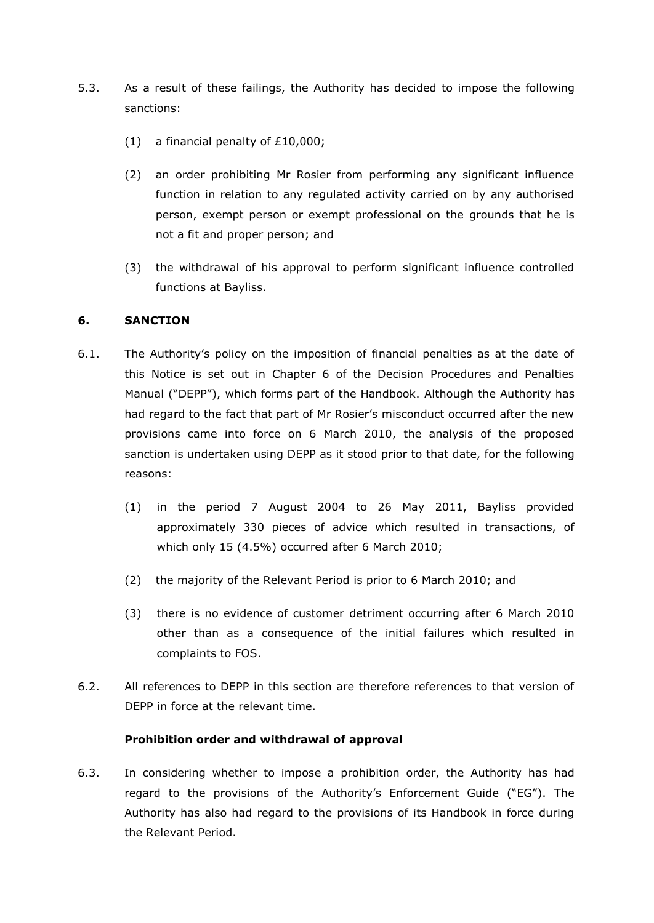- 5.3. As a result of these failings, the Authority has decided to impose the following sanctions:
	- (1) a financial penalty of £10,000;
	- (2) an order prohibiting Mr Rosier from performing any significant influence function in relation to any regulated activity carried on by any authorised person, exempt person or exempt professional on the grounds that he is not a fit and proper person; and
	- (3) the withdrawal of his approval to perform significant influence controlled functions at Bayliss.

# **6. SANCTION**

- 6.1. The Authority's policy on the imposition of financial penalties as at the date of this Notice is set out in Chapter 6 of the Decision Procedures and Penalties Manual ("DEPP"), which forms part of the Handbook. Although the Authority has had regard to the fact that part of Mr Rosier's misconduct occurred after the new provisions came into force on 6 March 2010, the analysis of the proposed sanction is undertaken using DEPP as it stood prior to that date, for the following reasons:
	- (1) in the period 7 August 2004 to 26 May 2011, Bayliss provided approximately 330 pieces of advice which resulted in transactions, of which only 15 (4.5%) occurred after 6 March 2010;
	- (2) the majority of the Relevant Period is prior to 6 March 2010; and
	- (3) there is no evidence of customer detriment occurring after 6 March 2010 other than as a consequence of the initial failures which resulted in complaints to FOS.
- 6.2. All references to DEPP in this section are therefore references to that version of DEPP in force at the relevant time.

# **Prohibition order and withdrawal of approval**

6.3. In considering whether to impose a prohibition order, the Authority has had regard to the provisions of the Authority's Enforcement Guide ("EG"). The Authority has also had regard to the provisions of its Handbook in force during the Relevant Period.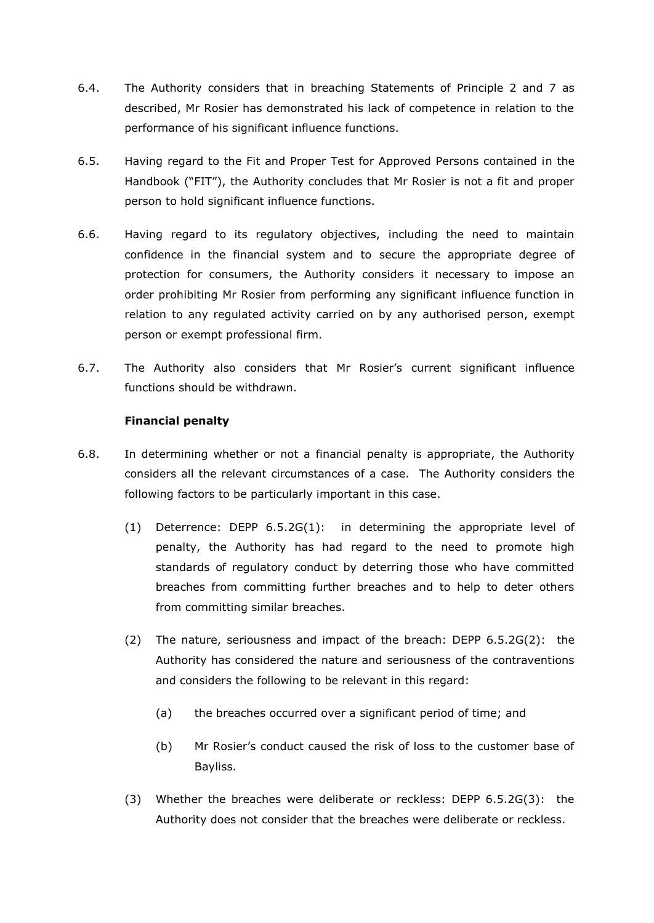- 6.4. The Authority considers that in breaching Statements of Principle 2 and 7 as described, Mr Rosier has demonstrated his lack of competence in relation to the performance of his significant influence functions.
- 6.5. Having regard to the Fit and Proper Test for Approved Persons contained in the Handbook ("FIT"), the Authority concludes that Mr Rosier is not a fit and proper person to hold significant influence functions.
- 6.6. Having regard to its regulatory objectives, including the need to maintain confidence in the financial system and to secure the appropriate degree of protection for consumers, the Authority considers it necessary to impose an order prohibiting Mr Rosier from performing any significant influence function in relation to any regulated activity carried on by any authorised person, exempt person or exempt professional firm.
- 6.7. The Authority also considers that Mr Rosier's current significant influence functions should be withdrawn.

# **Financial penalty**

- 6.8. In determining whether or not a financial penalty is appropriate, the Authority considers all the relevant circumstances of a case. The Authority considers the following factors to be particularly important in this case.
	- (1) Deterrence: DEPP 6.5.2G(1): in determining the appropriate level of penalty, the Authority has had regard to the need to promote high standards of regulatory conduct by deterring those who have committed breaches from committing further breaches and to help to deter others from committing similar breaches.
	- (2) The nature, seriousness and impact of the breach: DEPP 6.5.2G(2): the Authority has considered the nature and seriousness of the contraventions and considers the following to be relevant in this regard:
		- (a) the breaches occurred over a significant period of time; and
		- (b) Mr Rosier's conduct caused the risk of loss to the customer base of Bayliss.
	- (3) Whether the breaches were deliberate or reckless: DEPP 6.5.2G(3): the Authority does not consider that the breaches were deliberate or reckless.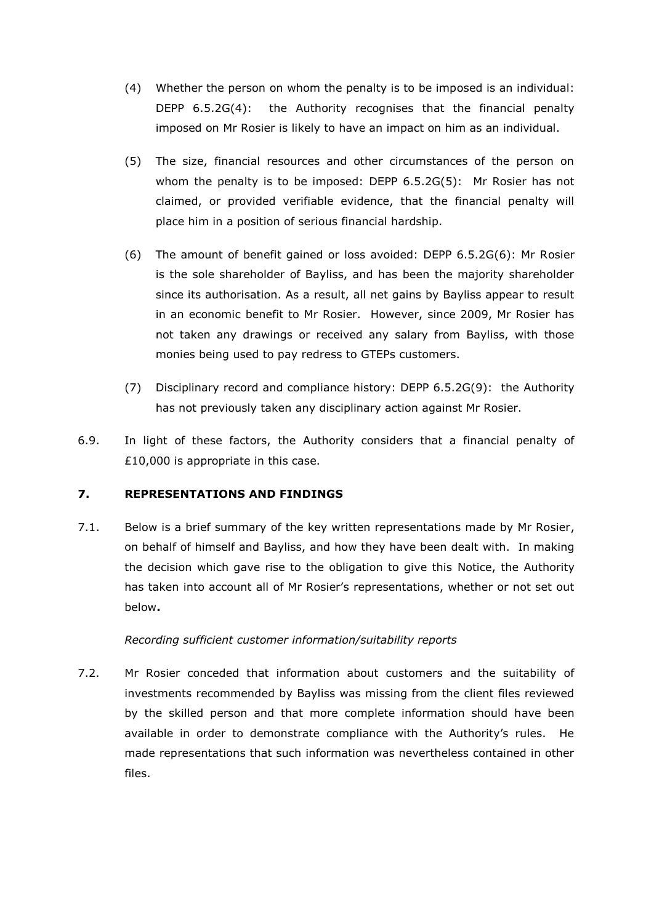- (4) Whether the person on whom the penalty is to be imposed is an individual: DEPP 6.5.2G(4): the Authority recognises that the financial penalty imposed on Mr Rosier is likely to have an impact on him as an individual.
- (5) The size, financial resources and other circumstances of the person on whom the penalty is to be imposed: DEPP 6.5.2G(5): Mr Rosier has not claimed, or provided verifiable evidence, that the financial penalty will place him in a position of serious financial hardship.
- (6) The amount of benefit gained or loss avoided: DEPP 6.5.2G(6): Mr Rosier is the sole shareholder of Bayliss, and has been the majority shareholder since its authorisation. As a result, all net gains by Bayliss appear to result in an economic benefit to Mr Rosier. However, since 2009, Mr Rosier has not taken any drawings or received any salary from Bayliss, with those monies being used to pay redress to GTEPs customers.
- (7) Disciplinary record and compliance history: DEPP 6.5.2G(9): the Authority has not previously taken any disciplinary action against Mr Rosier.
- 6.9. In light of these factors, the Authority considers that a financial penalty of £10,000 is appropriate in this case.

# **7. REPRESENTATIONS AND FINDINGS**

7.1. Below is a brief summary of the key written representations made by Mr Rosier, on behalf of himself and Bayliss, and how they have been dealt with. In making the decision which gave rise to the obligation to give this Notice, the Authority has taken into account all of Mr Rosier's representations, whether or not set out below**.**

#### *Recording sufficient customer information/suitability reports*

7.2. Mr Rosier conceded that information about customers and the suitability of investments recommended by Bayliss was missing from the client files reviewed by the skilled person and that more complete information should have been available in order to demonstrate compliance with the Authority's rules. He made representations that such information was nevertheless contained in other files.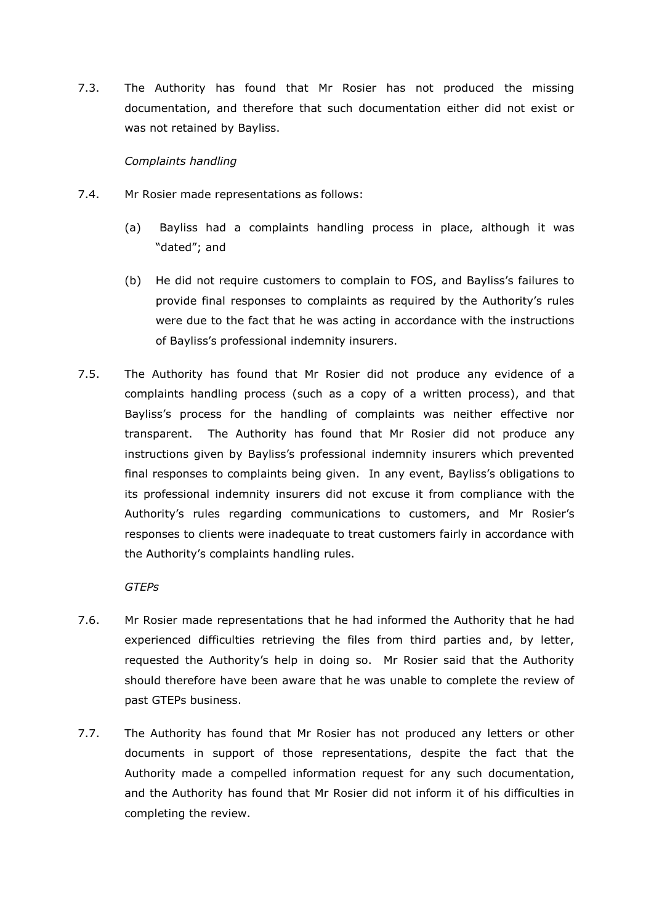7.3. The Authority has found that Mr Rosier has not produced the missing documentation, and therefore that such documentation either did not exist or was not retained by Bayliss.

#### *Complaints handling*

- 7.4. Mr Rosier made representations as follows:
	- (a) Bayliss had a complaints handling process in place, although it was "dated"; and
	- (b) He did not require customers to complain to FOS, and Bayliss's failures to provide final responses to complaints as required by the Authority's rules were due to the fact that he was acting in accordance with the instructions of Bayliss's professional indemnity insurers.
- 7.5. The Authority has found that Mr Rosier did not produce any evidence of a complaints handling process (such as a copy of a written process), and that Bayliss's process for the handling of complaints was neither effective nor transparent. The Authority has found that Mr Rosier did not produce any instructions given by Bayliss's professional indemnity insurers which prevented final responses to complaints being given. In any event, Bayliss's obligations to its professional indemnity insurers did not excuse it from compliance with the Authority's rules regarding communications to customers, and Mr Rosier's responses to clients were inadequate to treat customers fairly in accordance with the Authority's complaints handling rules.

#### *GTEPs*

- 7.6. Mr Rosier made representations that he had informed the Authority that he had experienced difficulties retrieving the files from third parties and, by letter, requested the Authority's help in doing so. Mr Rosier said that the Authority should therefore have been aware that he was unable to complete the review of past GTEPs business.
- 7.7. The Authority has found that Mr Rosier has not produced any letters or other documents in support of those representations, despite the fact that the Authority made a compelled information request for any such documentation, and the Authority has found that Mr Rosier did not inform it of his difficulties in completing the review.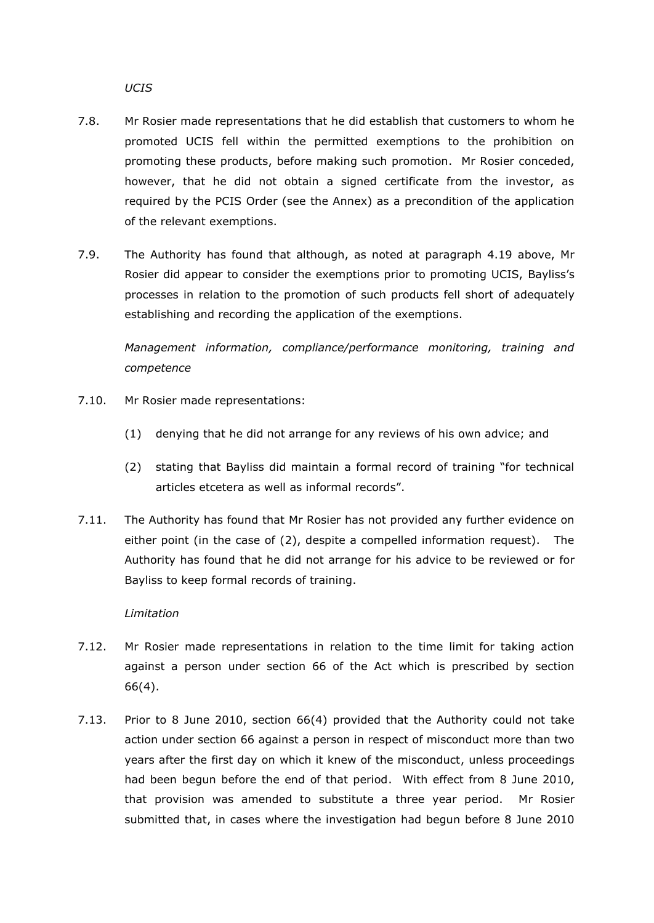*UCIS*

- 7.8. Mr Rosier made representations that he did establish that customers to whom he promoted UCIS fell within the permitted exemptions to the prohibition on promoting these products, before making such promotion. Mr Rosier conceded, however, that he did not obtain a signed certificate from the investor, as required by the PCIS Order (see the Annex) as a precondition of the application of the relevant exemptions.
- 7.9. The Authority has found that although, as noted at paragraph 4.19 above, Mr Rosier did appear to consider the exemptions prior to promoting UCIS, Bayliss's processes in relation to the promotion of such products fell short of adequately establishing and recording the application of the exemptions.

*Management information, compliance/performance monitoring, training and competence*

- 7.10. Mr Rosier made representations:
	- (1) denying that he did not arrange for any reviews of his own advice; and
	- (2) stating that Bayliss did maintain a formal record of training "for technical articles etcetera as well as informal records".
- 7.11. The Authority has found that Mr Rosier has not provided any further evidence on either point (in the case of (2), despite a compelled information request). The Authority has found that he did not arrange for his advice to be reviewed or for Bayliss to keep formal records of training.

#### *Limitation*

- 7.12. Mr Rosier made representations in relation to the time limit for taking action against a person under section 66 of the Act which is prescribed by section 66(4).
- 7.13. Prior to 8 June 2010, section 66(4) provided that the Authority could not take action under section 66 against a person in respect of misconduct more than two years after the first day on which it knew of the misconduct, unless proceedings had been begun before the end of that period. With effect from 8 June 2010, that provision was amended to substitute a three year period. Mr Rosier submitted that, in cases where the investigation had begun before 8 June 2010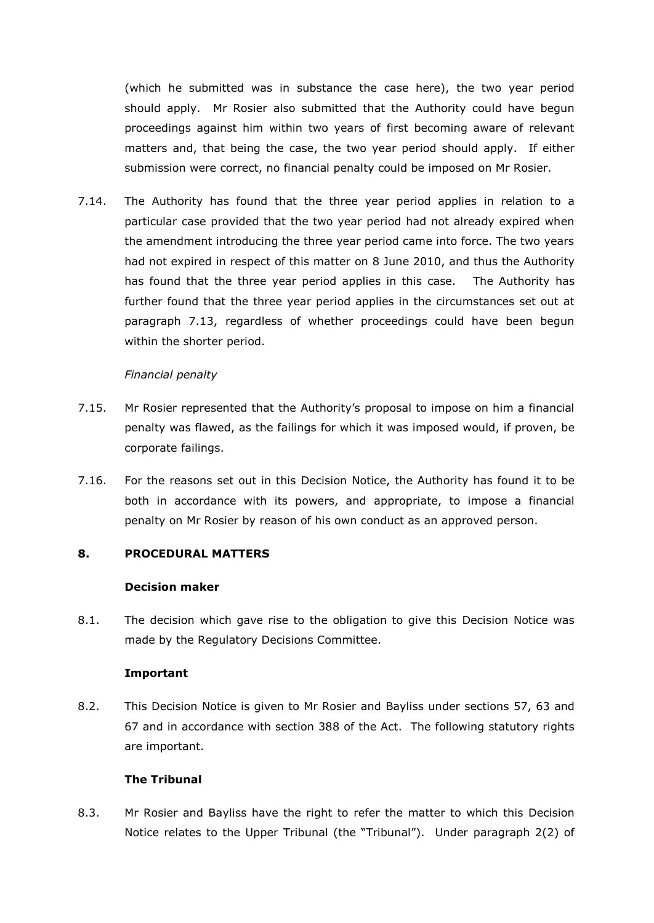(which he submitted was in substance the case here), the two year period should apply. Mr Rosier also submitted that the Authority could have begun proceedings against him within two years of first becoming aware of relevant matters and, that being the case, the two year period should apply. If either submission were correct, no financial penalty could be imposed on Mr Rosier.

7.14. The Authority has found that the three year period applies in relation to a particular case provided that the two year period had not already expired when the amendment introducing the three year period came into force. The two years had not expired in respect of this matter on 8 June 2010, and thus the Authority has found that the three year period applies in this case. The Authority has further found that the three year period applies in the circumstances set out at paragraph 7.13, regardless of whether proceedings could have been begun within the shorter period.

#### *Financial penalty*

- 7.15. Mr Rosier represented that the Authority's proposal to impose on him a financial penalty was flawed, as the failings for which it was imposed would, if proven, be corporate failings.
- 7.16. For the reasons set out in this Decision Notice, the Authority has found it to be both in accordance with its powers, and appropriate, to impose a financial penalty on Mr Rosier by reason of his own conduct as an approved person.

# **8. PROCEDURAL MATTERS**

#### **Decision maker**

8.1. The decision which gave rise to the obligation to give this Decision Notice was made by the Regulatory Decisions Committee.

#### **Important**

8.2. This Decision Notice is given to Mr Rosier and Bayliss under sections 57, 63 and 67 and in accordance with section 388 of the Act. The following statutory rights are important.

#### **The Tribunal**

8.3. Mr Rosier and Bayliss have the right to refer the matter to which this Decision Notice relates to the Upper Tribunal (the "Tribunal"). Under paragraph 2(2) of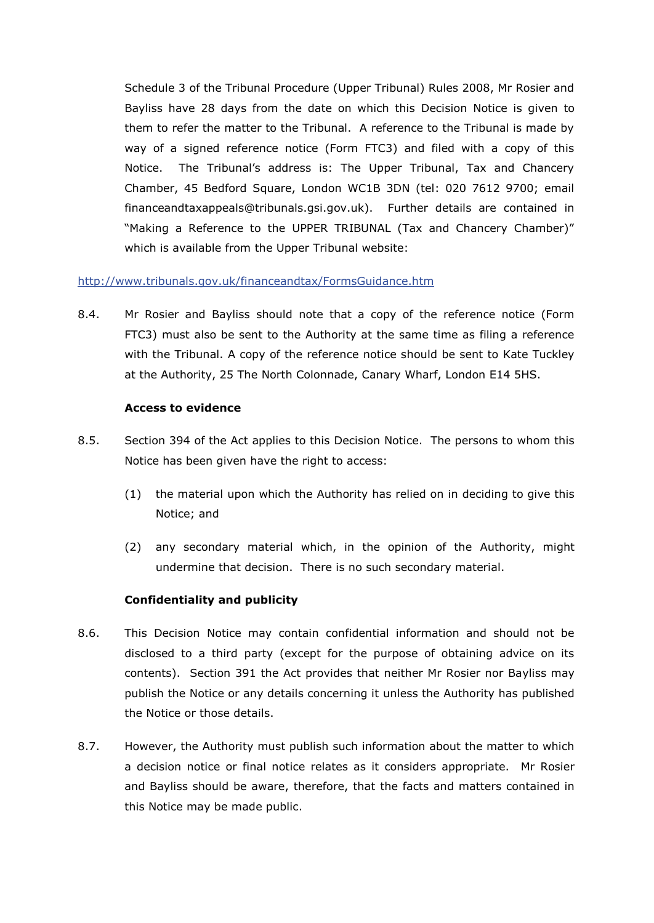Schedule 3 of the Tribunal Procedure (Upper Tribunal) Rules 2008, Mr Rosier and Bayliss have 28 days from the date on which this Decision Notice is given to them to refer the matter to the Tribunal. A reference to the Tribunal is made by way of a signed reference notice (Form FTC3) and filed with a copy of this Notice. The Tribunal's address is: The Upper Tribunal, Tax and Chancery Chamber, 45 Bedford Square, London WC1B 3DN (tel: 020 7612 9700; email financeandtaxappeals@tribunals.gsi.gov.uk). Further details are contained in "Making a Reference to the UPPER TRIBUNAL (Tax and Chancery Chamber)" which is available from the Upper Tribunal website:

# <http://www.tribunals.gov.uk/financeandtax/FormsGuidance.htm>

8.4. Mr Rosier and Bayliss should note that a copy of the reference notice (Form FTC3) must also be sent to the Authority at the same time as filing a reference with the Tribunal. A copy of the reference notice should be sent to Kate Tuckley at the Authority, 25 The North Colonnade, Canary Wharf, London E14 5HS.

# **Access to evidence**

- 8.5. Section 394 of the Act applies to this Decision Notice. The persons to whom this Notice has been given have the right to access:
	- (1) the material upon which the Authority has relied on in deciding to give this Notice; and
	- (2) any secondary material which, in the opinion of the Authority, might undermine that decision. There is no such secondary material.

# **Confidentiality and publicity**

- 8.6. This Decision Notice may contain confidential information and should not be disclosed to a third party (except for the purpose of obtaining advice on its contents). Section 391 the Act provides that neither Mr Rosier nor Bayliss may publish the Notice or any details concerning it unless the Authority has published the Notice or those details.
- 8.7. However, the Authority must publish such information about the matter to which a decision notice or final notice relates as it considers appropriate. Mr Rosier and Bayliss should be aware, therefore, that the facts and matters contained in this Notice may be made public.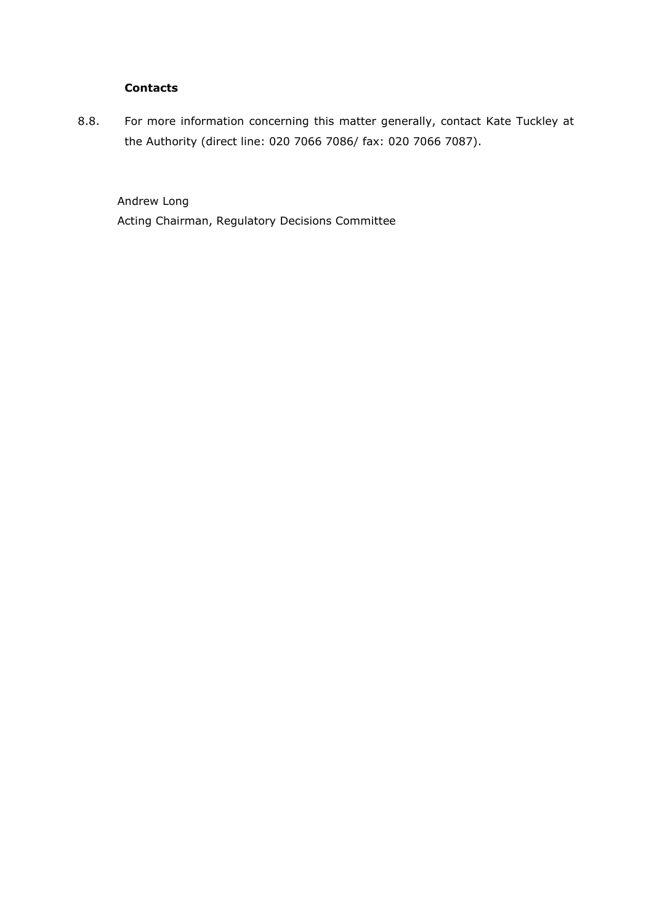# **Contacts**

8.8. For more information concerning this matter generally, contact Kate Tuckley at the Authority (direct line: 020 7066 7086/ fax: 020 7066 7087).

Andrew Long Acting Chairman, Regulatory Decisions Committee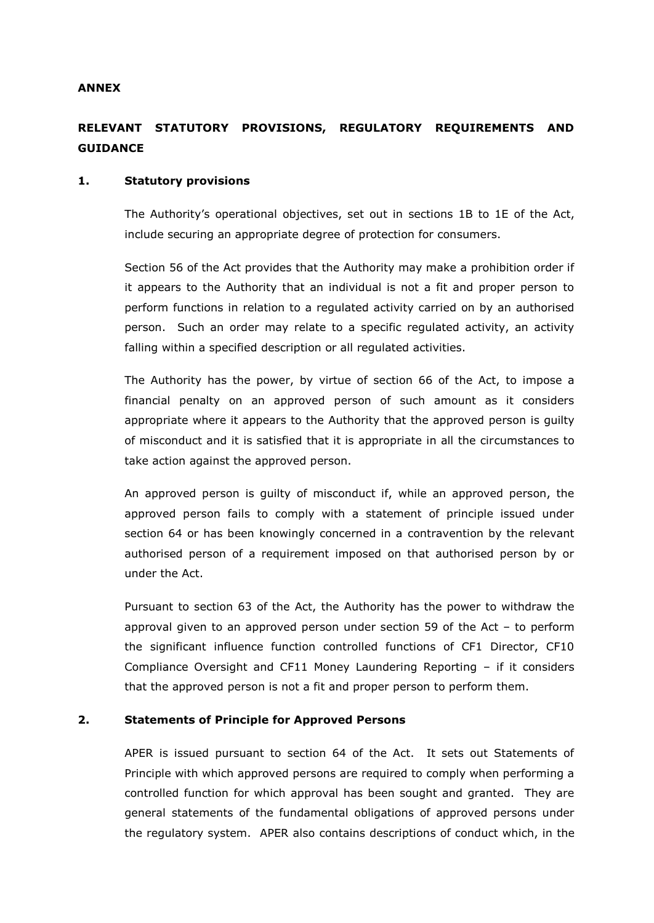#### **ANNEX**

# **RELEVANT STATUTORY PROVISIONS, REGULATORY REQUIREMENTS AND GUIDANCE**

#### **1. Statutory provisions**

The Authority's operational objectives, set out in sections 1B to 1E of the Act, include securing an appropriate degree of protection for consumers.

Section 56 of the Act provides that the Authority may make a prohibition order if it appears to the Authority that an individual is not a fit and proper person to perform functions in relation to a regulated activity carried on by an authorised person. Such an order may relate to a specific regulated activity, an activity falling within a specified description or all regulated activities.

The Authority has the power, by virtue of section 66 of the Act, to impose a financial penalty on an approved person of such amount as it considers appropriate where it appears to the Authority that the approved person is guilty of misconduct and it is satisfied that it is appropriate in all the circumstances to take action against the approved person.

An approved person is guilty of misconduct if, while an approved person, the approved person fails to comply with a statement of principle issued under section 64 or has been knowingly concerned in a contravention by the relevant authorised person of a requirement imposed on that authorised person by or under the Act.

Pursuant to section 63 of the Act, the Authority has the power to withdraw the approval given to an approved person under section 59 of the Act – to perform the significant influence function controlled functions of CF1 Director, CF10 Compliance Oversight and CF11 Money Laundering Reporting – if it considers that the approved person is not a fit and proper person to perform them.

#### **2. Statements of Principle for Approved Persons**

APER is issued pursuant to section 64 of the Act. It sets out Statements of Principle with which approved persons are required to comply when performing a [controlled function](http://fsahandbook.info/FSA/glossary-html/handbook/Glossary/C?definition=G224) for which approval has been sought and granted. They are general statements of the fundamental obligations of approved persons under the regulatory system. APER also contains descriptions of conduct which, in the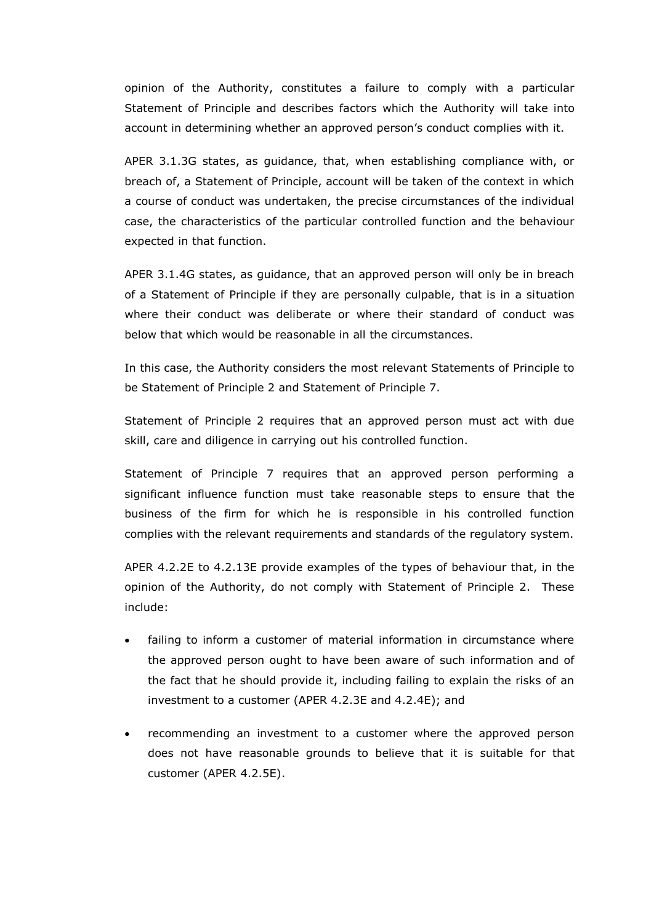opinion of the Authority, constitutes a failure to comply with a particular Statement of Principle and describes factors which the Authority will take into account in determining whether an approved person's conduct complies with it.

APER 3.1.3G states, as guidance, that, when establishing compliance with, or breach of, a Statement of Principle, account will be taken of the context in which a course of conduct was undertaken, the precise circumstances of the individual case, the characteristics of the particular controlled function and the behaviour expected in that function.

APER 3.1.4G states, as guidance, that an approved person will only be in breach of a Statement of Principle if they are personally culpable, that is in a situation where their conduct was deliberate or where their standard of conduct was below that which would be reasonable in all the circumstances.

In this case, the Authority considers the most relevant Statements of Principle to be Statement of Principle 2 and Statement of Principle 7.

Statement of Principle 2 requires that an approved person must act with due skill, care and diligence in carrying out his controlled function.

Statement of Principle 7 requires that an approved person performing a significant influence function must take reasonable steps to ensure that the business of the firm for which he is responsible in his controlled function complies with the relevant requirements and standards of the regulatory system.

APER 4.2.2E to 4.2.13E provide examples of the types of behaviour that, in the opinion of the Authority, do not comply with Statement of Principle 2. These include:

- failing to inform a customer of material information in circumstance where the approved person ought to have been aware of such information and of the fact that he should provide it, including failing to explain the risks of an investment to a customer (APER 4.2.3E and 4.2.4E); and
- recommending an [investment](http://fsahandbook.info/FSA/glossary-html/handbook/Glossary/I?definition=G588) to a [customer](http://fsahandbook.info/FSA/glossary-html/handbook/Glossary/C?definition=G252) where the approved person does not have reasonable grounds to believe that it is suitable for that [customer](http://fsahandbook.info/FSA/glossary-html/handbook/Glossary/C?definition=G252) (APER 4.2.5E).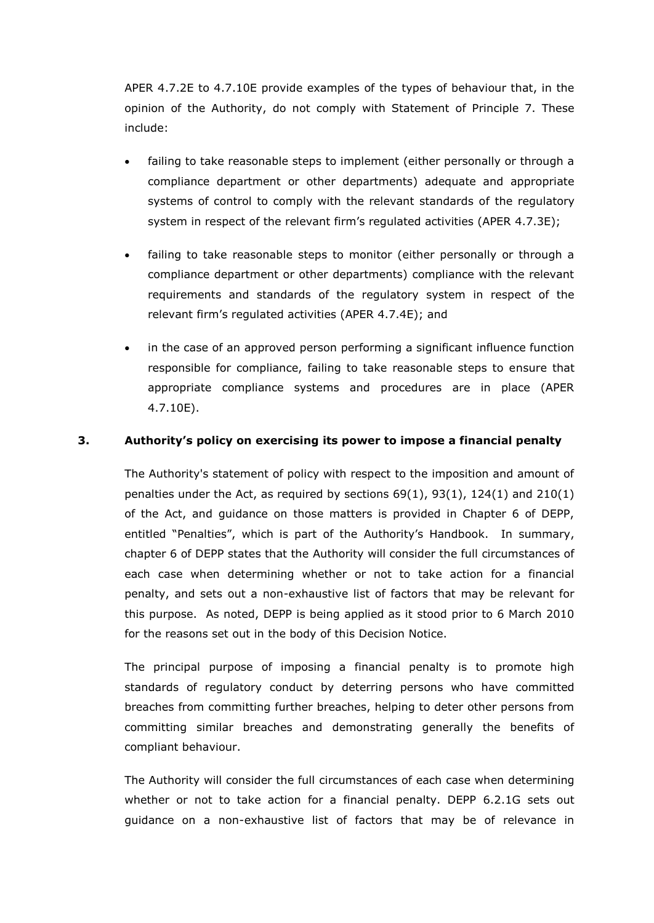APER 4.7.2E to 4.7.10E provide examples of the types of behaviour that, in the opinion of the Authority, do not comply with Statement of Principle 7. These include:

- failing to take reasonable steps to implement (either personally or through a compliance department or other departments) adequate and appropriate systems of control to comply with the relevant standards of the regulatory system in respect of the relevant firm's regulated activities (APER 4.7.3E);
- failing to take reasonable steps to monitor (either personally or through a compliance department or other departments) compliance with the relevant requirements and standards of the regulatory system in respect of the relevant firm's regulated activities (APER 4.7.4E); and
- in the case of an approved person performing a significant influence function responsible for compliance, failing to take reasonable steps to ensure that appropriate compliance systems and procedures are in place (APER 4.7.10E).

# **3. Authority's policy on exercising its power to impose a financial penalty**

The [Authority's](http://fsahandbook.info/FSA/glossary-html/handbook/Glossary/F?definition=G447) statement of policy with respect to the imposition and amount of penalties under the [Act,](http://fsahandbook.info/FSA/glossary-html/handbook/Glossary/A?definition=G10) as required by sections  $69(1)$ ,  $93(1)$ ,  $124(1)$  and  $210(1)$ of the [Act,](http://fsahandbook.info/FSA/glossary-html/handbook/Glossary/A?definition=G10) and guidance on those matters is provided in Chapter 6 of DEPP, entitled "Penalties", which is part of the Authority's Handbook. In summary, chapter 6 of DEPP states that the Authority will consider the full circumstances of each case when determining whether or not to take action for a financial penalty, and sets out a non-exhaustive list of factors that may be relevant for this purpose. As noted, DEPP is being applied as it stood prior to 6 March 2010 for the reasons set out in the body of this Decision Notice.

The principal purpose of imposing a financial penalty is to promote high standards of regulatory conduct by deterring persons who have committed breaches from committing further breaches, helping to deter other persons from committing similar breaches and demonstrating generally the benefits of compliant behaviour.

The Authority will consider the full circumstances of each case when determining whether or not to take action for a financial penalty. DEPP 6.2.1G sets out guidance on a non-exhaustive list of factors that may be of relevance in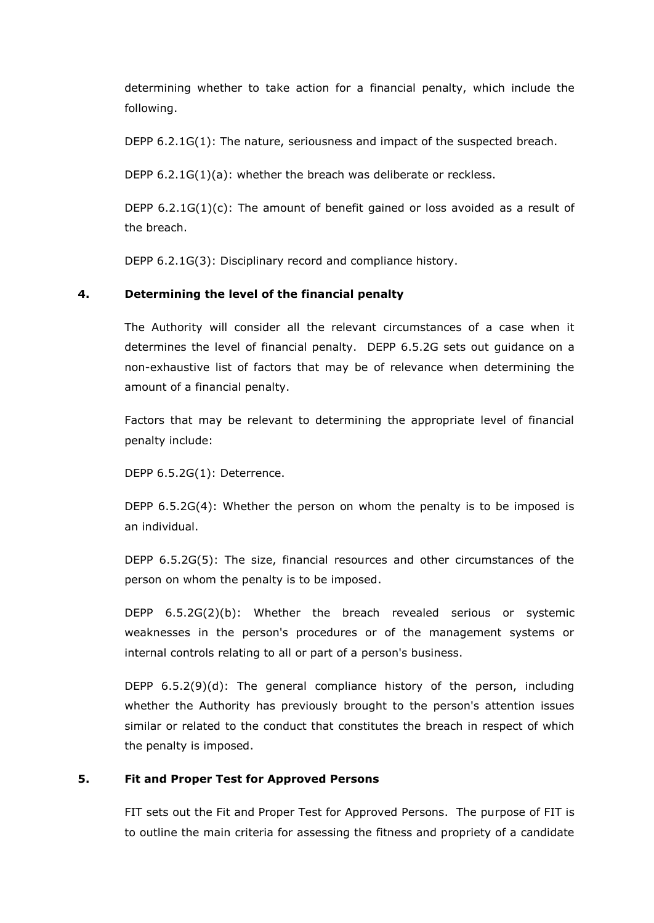determining whether to take action for a financial penalty, which include the following.

DEPP 6.2.1G(1): The nature, seriousness and impact of the suspected breach.

DEPP 6.2.1G(1)(a): whether the breach was deliberate or reckless.

DEPP  $6.2.1G(1)(c)$ : The amount of benefit gained or loss avoided as a result of the breach.

DEPP 6.2.1G(3): Disciplinary record and compliance history.

# **4. Determining the level of the financial penalty**

The Authority will consider all the relevant circumstances of a case when it determines the level of financial penalty. DEPP 6.5.2G sets out guidance on a non-exhaustive list of factors that may be of relevance when determining the amount of a financial penalty.

Factors that may be relevant to determining the appropriate level of financial penalty include:

DEPP 6.5.2G(1): Deterrence.

DEPP 6.5.2G(4): Whether the person on whom the penalty is to be imposed is an individual.

DEPP 6.5.2G(5): The size, financial resources and other circumstances of the person on whom the penalty is to be imposed.

DEPP 6.5.2G(2)(b): Whether the breach revealed serious or systemic weaknesses in the person's procedures or of the management systems or internal controls relating to all or part of a person's business.

DEPP 6.5.2(9)(d): The general compliance history of the person, including whether the Authority has previously brought to the person's attention issues similar or related to the conduct that constitutes the breach in respect of which the penalty is imposed.

#### **5. Fit and Proper Test for Approved Persons**

FIT sets out the Fit and Proper Test for Approved Persons. The purpose of FIT is to outline the main criteria for assessing the fitness and propriety of a candidate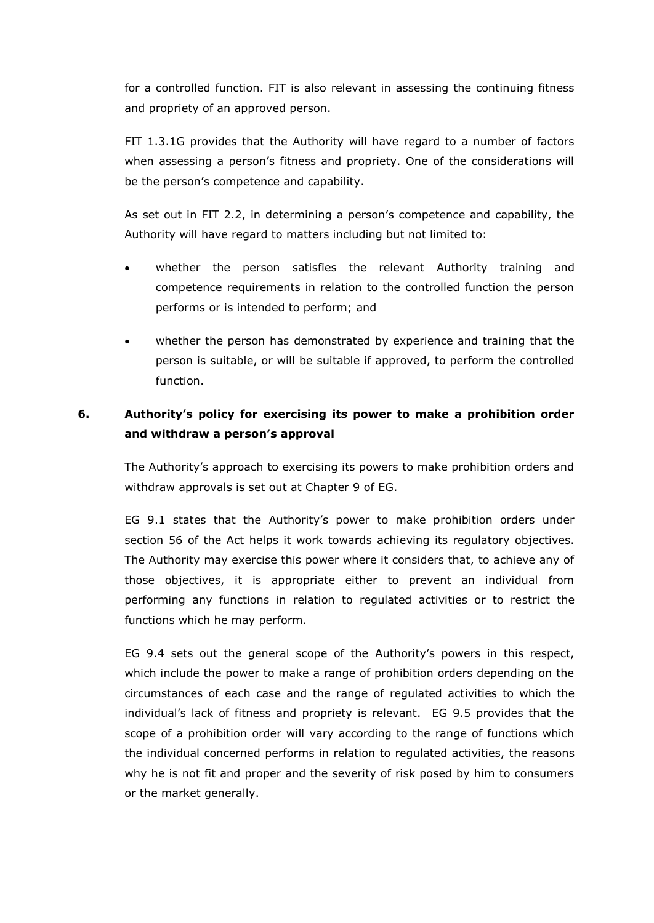for a controlled function. FIT is also relevant in assessing the continuing fitness and propriety of an approved person.

FIT 1.3.1G provides that the Authority will have regard to a number of factors when assessing a person's fitness and propriety. One of the considerations will be the person's competence and capability.

As set out in FIT 2.2, in determining a person's competence and capability, the Authority will have regard to matters including but not limited to:

- whether the person satisfies the relevant Authority training and competence requirements in relation to the controlled function the person performs or is intended to perform; and
- whether the person has demonstrated by experience and training that the person is suitable, or will be suitable if approved, to perform the controlled function.

# **6. Authority's policy for exercising its power to make a prohibition order and withdraw a person's approval**

The Authority's approach to exercising its powers to make prohibition orders and withdraw approvals is set out at Chapter 9 of EG.

EG 9.1 states that the Authority's power to make prohibition orders under section 56 of the Act helps it work towards achieving its regulatory objectives. The Authority may exercise this power where it considers that, to achieve any of those objectives, it is appropriate either to prevent an individual from performing any functions in relation to regulated activities or to restrict the functions which he may perform.

EG 9.4 sets out the general scope of the Authority's powers in this respect, which include the power to make a range of prohibition orders depending on the circumstances of each case and the range of regulated activities to which the individual's lack of fitness and propriety is relevant. EG 9.5 provides that the scope of a prohibition order will vary according to the range of functions which the individual concerned performs in relation to regulated activities, the reasons why he is not fit and proper and the severity of risk posed by him to consumers or the market generally.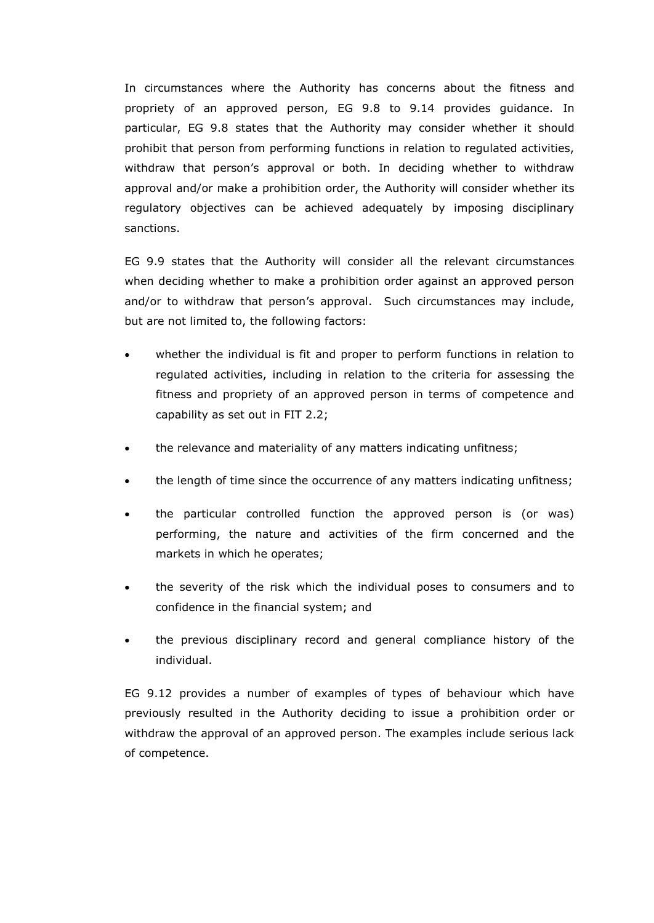In circumstances where the Authority has concerns about the fitness and propriety of an approved person, EG 9.8 to 9.14 provides guidance. In particular, EG 9.8 states that the Authority may consider whether it should prohibit that person from performing functions in relation to regulated activities, withdraw that person's approval or both. In deciding whether to withdraw approval and/or make a prohibition order, the Authority will consider whether its regulatory objectives can be achieved adequately by imposing disciplinary sanctions.

EG 9.9 states that the Authority will consider all the relevant circumstances when deciding whether to make a prohibition order against an approved person and/or to withdraw that person's approval. Such circumstances may include, but are not limited to, the following factors:

- whether the individual is fit and proper to perform functions in relation to regulated activities, including in relation to the criteria for assessing the fitness and propriety of an approved person in terms of competence and capability as set out in FIT 2.2;
- the relevance and materiality of any matters indicating unfitness;
- the length of time since the occurrence of any matters indicating unfitness;
- the particular controlled function the approved person is (or was) performing, the nature and activities of the firm concerned and the markets in which he operates;
- the severity of the risk which the individual poses to consumers and to confidence in the financial system; and
- the previous disciplinary record and general compliance history of the individual.

EG 9.12 provides a number of examples of types of behaviour which have previously resulted in the Authority deciding to issue a prohibition order or withdraw the approval of an approved person. The examples include serious lack of competence.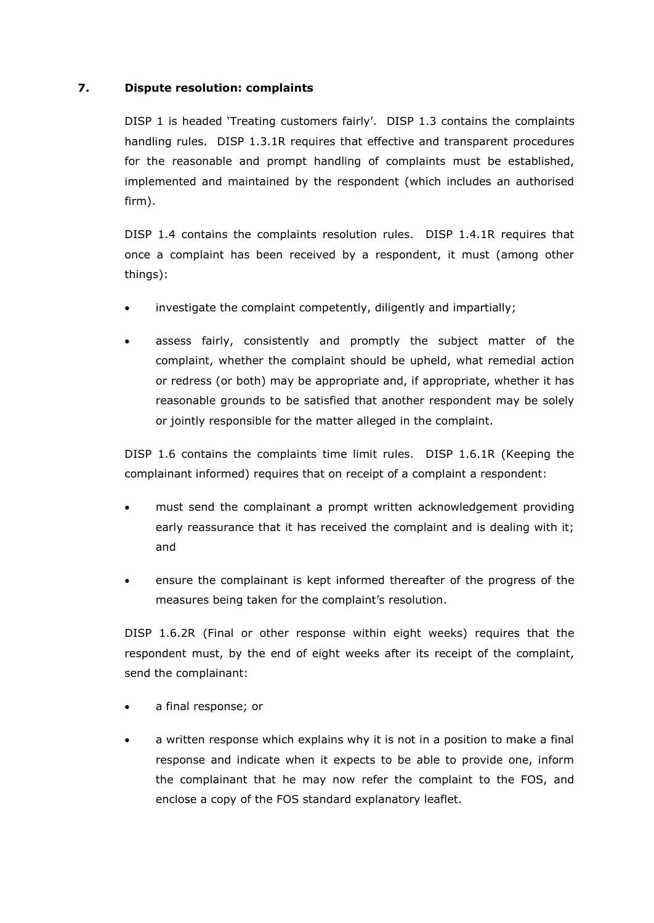# **7. Dispute resolution: complaints**

DISP 1 is headed 'Treating customers fairly'. DISP 1.3 contains the complaints handling rules. DISP 1.3.1R requires that effective and transparent procedures for the reasonable and prompt handling of complaints must be established, implemented and maintained by the respondent (which includes an authorised firm).

DISP 1.4 contains the complaints resolution rules. DISP 1.4.1R requires that once a complaint has been received by a respondent, it must (among other things):

- investigate the complaint competently, diligently and impartially;
- assess fairly, consistently and promptly the subject matter of the complaint, whether the complaint should be upheld, what remedial action or redress (or both) may be appropriate and, if appropriate, whether it has reasonable grounds to be satisfied that another respondent may be solely or jointly responsible for the matter alleged in the complaint.

DISP 1.6 contains the complaints time limit rules. DISP 1.6.1R (Keeping the complainant informed) requires that on receipt of a complaint a respondent:

- must send the complainant a prompt written acknowledgement providing early reassurance that it has received the complaint and is dealing with it; and
- ensure the complainant is kept informed thereafter of the progress of the measures being taken for the complaint's resolution.

DISP 1.6.2R (Final or other response within eight weeks) requires that the respondent must, by the end of eight weeks after its receipt of the complaint, send the complainant:

- a final response; or
- a written response which explains why it is not in a position to make a final response and indicate when it expects to be able to provide one, inform the complainant that he may now refer the complaint to the FOS, and enclose a copy of the FOS standard explanatory leaflet.